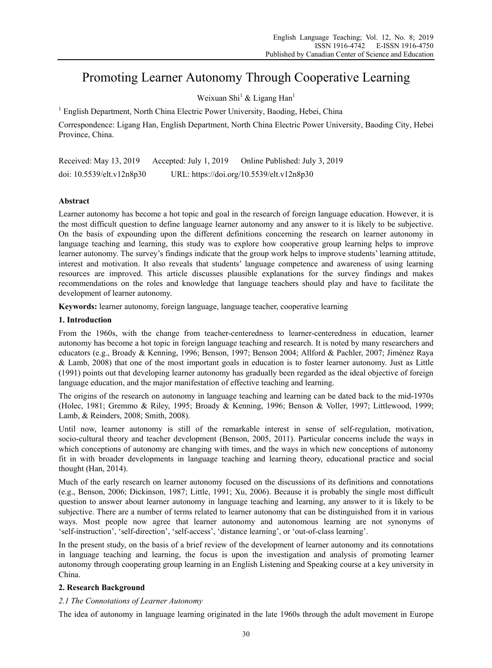# Promoting Learner Autonomy Through Cooperative Learning

Weixuan Shi<sup>1</sup> & Ligang Han<sup>1</sup>

<sup>1</sup> English Department, North China Electric Power University, Baoding, Hebei, China

Correspondence: Ligang Han, English Department, North China Electric Power University, Baoding City, Hebei Province, China.

Received: May 13, 2019 Accepted: July 1, 2019 Online Published: July 3, 2019 doi: 10.5539/elt.v12n8p30 URL: https://doi.org/10.5539/elt.v12n8p30

## **Abstract**

Learner autonomy has become a hot topic and goal in the research of foreign language education. However, it is the most difficult question to define language learner autonomy and any answer to it is likely to be subjective. On the basis of expounding upon the different definitions concerning the research on learner autonomy in language teaching and learning, this study was to explore how cooperative group learning helps to improve learner autonomy. The survey's findings indicate that the group work helps to improve students' learning attitude, interest and motivation. It also reveals that students' language competence and awareness of using learning resources are improved. This article discusses plausible explanations for the survey findings and makes recommendations on the roles and knowledge that language teachers should play and have to facilitate the development of learner autonomy.

**Keywords:** learner autonomy, foreign language, language teacher, cooperative learning

#### **1. Introduction**

From the 1960s, with the change from teacher-centeredness to learner-centeredness in education, learner autonomy has become a hot topic in foreign language teaching and research. It is noted by many researchers and educators (e.g., Broady & Kenning, 1996; Benson, 1997; Benson 2004; Allford & Pachler, 2007; Jiménez Raya & Lamb, 2008) that one of the most important goals in education is to foster learner autonomy. Just as Little (1991) points out that developing learner autonomy has gradually been regarded as the ideal objective of foreign language education, and the major manifestation of effective teaching and learning.

The origins of the research on autonomy in language teaching and learning can be dated back to the mid-1970s (Holec, 1981; Gremmo & Riley, 1995; Broady & Kenning, 1996; Benson & Voller, 1997; Littlewood, 1999; Lamb, & Reinders, 2008; Smith, 2008).

Until now, learner autonomy is still of the remarkable interest in sense of self-regulation, motivation, socio-cultural theory and teacher development (Benson, 2005, 2011). Particular concerns include the ways in which conceptions of autonomy are changing with times, and the ways in which new conceptions of autonomy fit in with broader developments in language teaching and learning theory, educational practice and social thought (Han, 2014).

Much of the early research on learner autonomy focused on the discussions of its definitions and connotations (e.g., Benson, 2006; Dickinson, 1987; Little, 1991; Xu, 2006). Because it is probably the single most difficult question to answer about learner autonomy in language teaching and learning, any answer to it is likely to be subjective. There are a number of terms related to learner autonomy that can be distinguished from it in various ways. Most people now agree that learner autonomy and autonomous learning are not synonyms of 'self-instruction', 'self-direction', 'self-access', 'distance learning', or 'out-of-class learning'.

In the present study, on the basis of a brief review of the development of learner autonomy and its connotations in language teaching and learning, the focus is upon the investigation and analysis of promoting learner autonomy through cooperating group learning in an English Listening and Speaking course at a key university in China.

## **2. Research Background**

## *2.1 The Connotations of Learner Autonomy*

The idea of autonomy in language learning originated in the late 1960s through the adult movement in Europe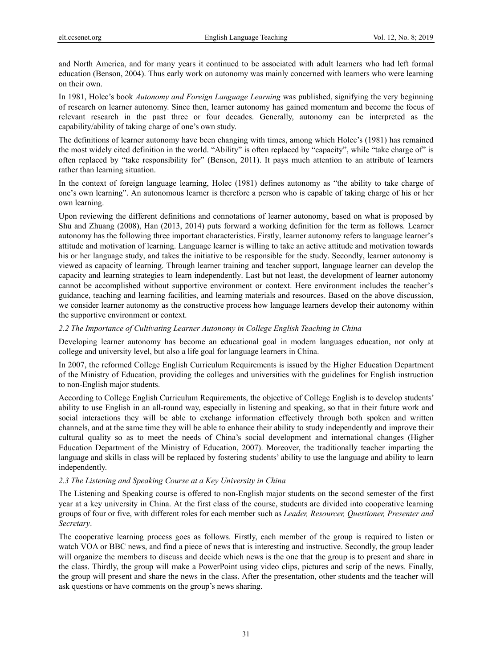and North America, and for many years it continued to be associated with adult learners who had left formal education (Benson, 2004). Thus early work on autonomy was mainly concerned with learners who were learning on their own.

In 1981, Holec's book *Autonomy and Foreign Language Learning* was published, signifying the very beginning of research on learner autonomy. Since then, learner autonomy has gained momentum and become the focus of relevant research in the past three or four decades. Generally, autonomy can be interpreted as the capability/ability of taking charge of one's own study.

The definitions of learner autonomy have been changing with times, among which Holec's (1981) has remained the most widely cited definition in the world. "Ability" is often replaced by "capacity", while "take charge of" is often replaced by "take responsibility for" (Benson, 2011). It pays much attention to an attribute of learners rather than learning situation.

In the context of foreign language learning, Holec (1981) defines autonomy as "the ability to take charge of one's own learning". An autonomous learner is therefore a person who is capable of taking charge of his or her own learning.

Upon reviewing the different definitions and connotations of learner autonomy, based on what is proposed by Shu and Zhuang (2008), Han (2013, 2014) puts forward a working definition for the term as follows. Learner autonomy has the following three important characteristics. Firstly, learner autonomy refers to language learner's attitude and motivation of learning. Language learner is willing to take an active attitude and motivation towards his or her language study, and takes the initiative to be responsible for the study. Secondly, learner autonomy is viewed as capacity of learning. Through learner training and teacher support, language learner can develop the capacity and learning strategies to learn independently. Last but not least, the development of learner autonomy cannot be accomplished without supportive environment or context. Here environment includes the teacher's guidance, teaching and learning facilities, and learning materials and resources. Based on the above discussion, we consider learner autonomy as the constructive process how language learners develop their autonomy within the supportive environment or context.

#### *2.2 The Importance of Cultivating Learner Autonomy in College English Teaching in China*

Developing learner autonomy has become an educational goal in modern languages education, not only at college and university level, but also a life goal for language learners in China.

In 2007, the reformed College English Curriculum Requirements is issued by the Higher Education Department of the Ministry of Education, providing the colleges and universities with the guidelines for English instruction to non-English major students.

According to College English Curriculum Requirements, the objective of College English is to develop students' ability to use English in an all-round way, especially in listening and speaking, so that in their future work and social interactions they will be able to exchange information effectively through both spoken and written channels, and at the same time they will be able to enhance their ability to study independently and improve their cultural quality so as to meet the needs of China's social development and international changes (Higher Education Department of the Ministry of Education, 2007). Moreover, the traditionally teacher imparting the language and skills in class will be replaced by fostering students' ability to use the language and ability to learn independently.

#### *2.3 The Listening and Speaking Course at a Key University in China*

The Listening and Speaking course is offered to non-English major students on the second semester of the first year at a key university in China. At the first class of the course, students are divided into cooperative learning groups of four or five, with different roles for each member such as *Leader, Resourcer, Questioner, Presenter and Secretary*.

The cooperative learning process goes as follows. Firstly, each member of the group is required to listen or watch VOA or BBC news, and find a piece of news that is interesting and instructive. Secondly, the group leader will organize the members to discuss and decide which news is the one that the group is to present and share in the class. Thirdly, the group will make a PowerPoint using video clips, pictures and scrip of the news. Finally, the group will present and share the news in the class. After the presentation, other students and the teacher will ask questions or have comments on the group's news sharing.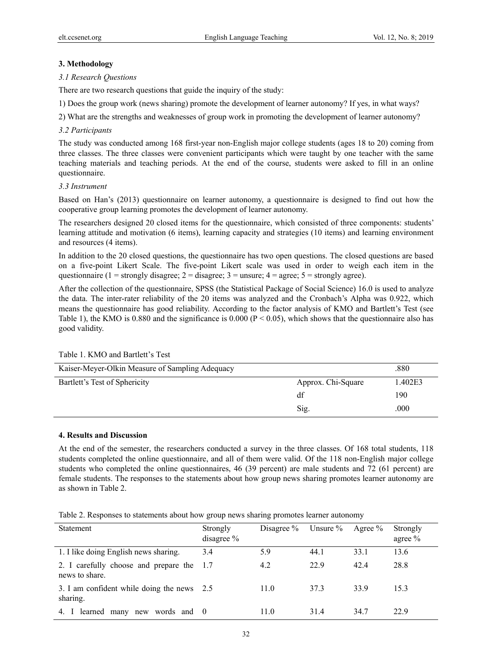## **3. Methodology**

## *3.1 Research Questions*

There are two research questions that guide the inquiry of the study:

1) Does the group work (news sharing) promote the development of learner autonomy? If yes, in what ways?

2) What are the strengths and weaknesses of group work in promoting the development of learner autonomy?

## *3.2 Participants*

The study was conducted among 168 first-year non-English major college students (ages 18 to 20) coming from three classes. The three classes were convenient participants which were taught by one teacher with the same teaching materials and teaching periods. At the end of the course, students were asked to fill in an online questionnaire.

## *3.3 Instrument*

Based on Han's (2013) questionnaire on learner autonomy, a questionnaire is designed to find out how the cooperative group learning promotes the development of learner autonomy.

The researchers designed 20 closed items for the questionnaire, which consisted of three components: students' learning attitude and motivation (6 items), learning capacity and strategies (10 items) and learning environment and resources (4 items).

In addition to the 20 closed questions, the questionnaire has two open questions. The closed questions are based on a five-point Likert Scale. The five-point Likert scale was used in order to weigh each item in the questionnaire (1 = strongly disagree; 2 = disagree; 3 = unsure; 4 = agree; 5 = strongly agree).

After the collection of the questionnaire, SPSS (the Statistical Package of Social Science) 16.0 is used to analyze the data. The inter-rater reliability of the 20 items was analyzed and the Cronbach's Alpha was 0.922, which means the questionnaire has good reliability. According to the factor analysis of KMO and Bartlett's Test (see Table 1), the KMO is 0.880 and the significance is 0.000 ( $P < 0.05$ ), which shows that the questionnaire also has good validity.

| Kaiser-Meyer-Olkin Measure of Sampling Adequacy |                    | .880    |
|-------------------------------------------------|--------------------|---------|
| Bartlett's Test of Sphericity                   | Approx. Chi-Square | 1.402E3 |
|                                                 | df                 | 190     |
|                                                 | Sig.               | .000    |

## Table 1. KMO and Bartlett's Test

#### **4. Results and Discussion**

At the end of the semester, the researchers conducted a survey in the three classes. Of 168 total students, 118 students completed the online questionnaire, and all of them were valid. Of the 118 non-English major college students who completed the online questionnaires, 46 (39 percent) are male students and 72 (61 percent) are female students. The responses to the statements about how group news sharing promotes learner autonomy are as shown in Table 2.

Table 2. Responses to statements about how group news sharing promotes learner autonomy

| <b>Statement</b>                                        | Strongly<br>disagree % | Disagree $%$ | Unsure $\%$ | Agree $\%$ | Strongly<br>agree $%$ |
|---------------------------------------------------------|------------------------|--------------|-------------|------------|-----------------------|
| 1. I like doing English news sharing.                   | 3.4                    | 5.9          | 44.1        | 33.1       | 13.6                  |
| 2. I carefully choose and prepare the<br>news to share. | $\Box$                 | 4.2          | 22.9        | 42.4       | 28.8                  |
| 3. I am confident while doing the news 2.5<br>sharing.  |                        | 11.0         | 37.3        | 33.9       | 15.3                  |
| learned many new words and 0<br>4. I                    |                        | 11.0         | 31.4        | 34.7       | 22.9                  |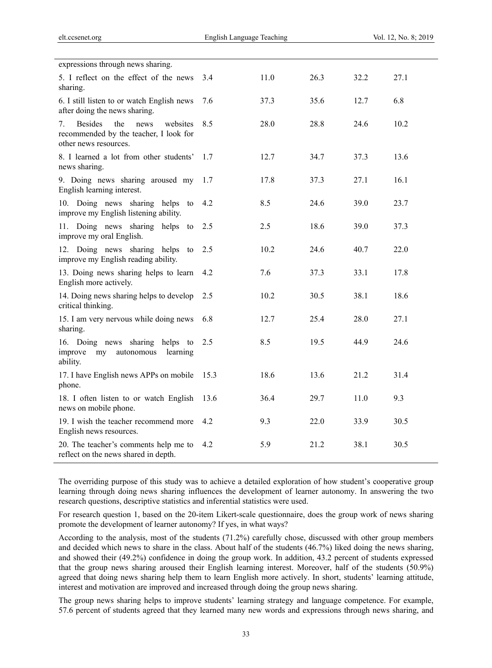| 3.4  | 11.0 | 26.3 | 32.2 | 27.1 |
|------|------|------|------|------|
| 7.6  | 37.3 | 35.6 | 12.7 | 6.8  |
| 8.5  | 28.0 | 28.8 | 24.6 | 10.2 |
| 1.7  | 12.7 | 34.7 | 37.3 | 13.6 |
| 1.7  | 17.8 | 37.3 | 27.1 | 16.1 |
| 4.2  | 8.5  | 24.6 | 39.0 | 23.7 |
| 2.5  | 2.5  | 18.6 | 39.0 | 37.3 |
| 2.5  | 10.2 | 24.6 | 40.7 | 22.0 |
| 4.2  | 7.6  | 37.3 | 33.1 | 17.8 |
| 2.5  | 10.2 | 30.5 | 38.1 | 18.6 |
| 6.8  | 12.7 | 25.4 | 28.0 | 27.1 |
| 2.5  | 8.5  | 19.5 | 44.9 | 24.6 |
| 15.3 | 18.6 | 13.6 | 21.2 | 31.4 |
| 13.6 | 36.4 | 29.7 | 11.0 | 9.3  |
| 4.2  | 9.3  | 22.0 | 33.9 | 30.5 |
| 4.2  | 5.9  | 21.2 | 38.1 | 30.5 |
|      |      |      |      |      |

The overriding purpose of this study was to achieve a detailed exploration of how student's cooperative group learning through doing news sharing influences the development of learner autonomy. In answering the two research questions, descriptive statistics and inferential statistics were used.

For research question 1, based on the 20-item Likert-scale questionnaire, does the group work of news sharing promote the development of learner autonomy? If yes, in what ways?

According to the analysis, most of the students (71.2%) carefully chose, discussed with other group members and decided which news to share in the class. About half of the students (46.7%) liked doing the news sharing, and showed their (49.2%) confidence in doing the group work. In addition, 43.2 percent of students expressed that the group news sharing aroused their English learning interest. Moreover, half of the students (50.9%) agreed that doing news sharing help them to learn English more actively. In short, students' learning attitude, interest and motivation are improved and increased through doing the group news sharing.

The group news sharing helps to improve students' learning strategy and language competence. For example, 57.6 percent of students agreed that they learned many new words and expressions through news sharing, and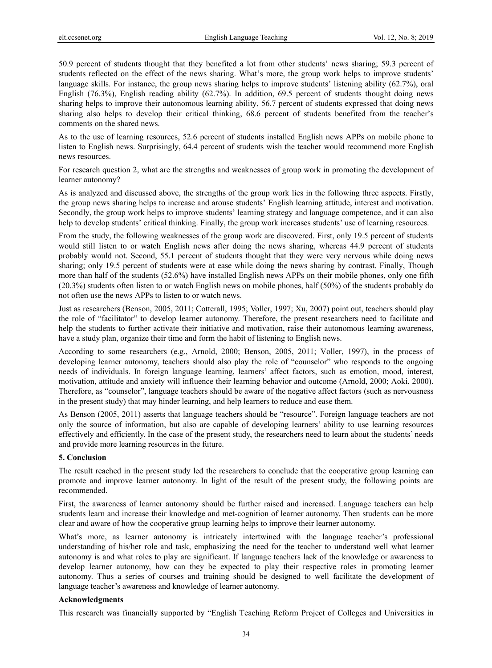50.9 percent of students thought that they benefited a lot from other students' news sharing; 59.3 percent of students reflected on the effect of the news sharing. What's more, the group work helps to improve students' language skills. For instance, the group news sharing helps to improve students' listening ability (62.7%), oral English (76.3%), English reading ability (62.7%). In addition, 69.5 percent of students thought doing news sharing helps to improve their autonomous learning ability, 56.7 percent of students expressed that doing news sharing also helps to develop their critical thinking, 68.6 percent of students benefited from the teacher's comments on the shared news.

As to the use of learning resources, 52.6 percent of students installed English news APPs on mobile phone to listen to English news. Surprisingly, 64.4 percent of students wish the teacher would recommend more English news resources.

For research question 2, what are the strengths and weaknesses of group work in promoting the development of learner autonomy?

As is analyzed and discussed above, the strengths of the group work lies in the following three aspects. Firstly, the group news sharing helps to increase and arouse students' English learning attitude, interest and motivation. Secondly, the group work helps to improve students' learning strategy and language competence, and it can also help to develop students' critical thinking. Finally, the group work increases students' use of learning resources.

From the study, the following weaknesses of the group work are discovered. First, only 19.5 percent of students would still listen to or watch English news after doing the news sharing, whereas 44.9 percent of students probably would not. Second, 55.1 percent of students thought that they were very nervous while doing news sharing; only 19.5 percent of students were at ease while doing the news sharing by contrast. Finally, Though more than half of the students (52.6%) have installed English news APPs on their mobile phones, only one fifth (20.3%) students often listen to or watch English news on mobile phones, half (50%) of the students probably do not often use the news APPs to listen to or watch news.

Just as researchers (Benson, 2005, 2011; Cotterall, 1995; Voller, 1997; Xu, 2007) point out, teachers should play the role of "facilitator" to develop learner autonomy. Therefore, the present researchers need to facilitate and help the students to further activate their initiative and motivation, raise their autonomous learning awareness, have a study plan, organize their time and form the habit of listening to English news.

According to some researchers (e.g., Arnold, 2000; Benson, 2005, 2011; Voller, 1997), in the process of developing learner autonomy, teachers should also play the role of "counselor" who responds to the ongoing needs of individuals. In foreign language learning, learners' affect factors, such as emotion, mood, interest, motivation, attitude and anxiety will influence their learning behavior and outcome (Arnold, 2000; Aoki, 2000). Therefore, as "counselor", language teachers should be aware of the negative affect factors (such as nervousness in the present study) that may hinder learning, and help learners to reduce and ease them.

As Benson (2005, 2011) asserts that language teachers should be "resource". Foreign language teachers are not only the source of information, but also are capable of developing learners' ability to use learning resources effectively and efficiently. In the case of the present study, the researchers need to learn about the students' needs and provide more learning resources in the future.

#### **5. Conclusion**

The result reached in the present study led the researchers to conclude that the cooperative group learning can promote and improve learner autonomy. In light of the result of the present study, the following points are recommended.

First, the awareness of learner autonomy should be further raised and increased. Language teachers can help students learn and increase their knowledge and met-cognition of learner autonomy. Then students can be more clear and aware of how the cooperative group learning helps to improve their learner autonomy.

What's more, as learner autonomy is intricately intertwined with the language teacher's professional understanding of his/her role and task, emphasizing the need for the teacher to understand well what learner autonomy is and what roles to play are significant. If language teachers lack of the knowledge or awareness to develop learner autonomy, how can they be expected to play their respective roles in promoting learner autonomy. Thus a series of courses and training should be designed to well facilitate the development of language teacher's awareness and knowledge of learner autonomy.

#### **Acknowledgments**

This research was financially supported by "English Teaching Reform Project of Colleges and Universities in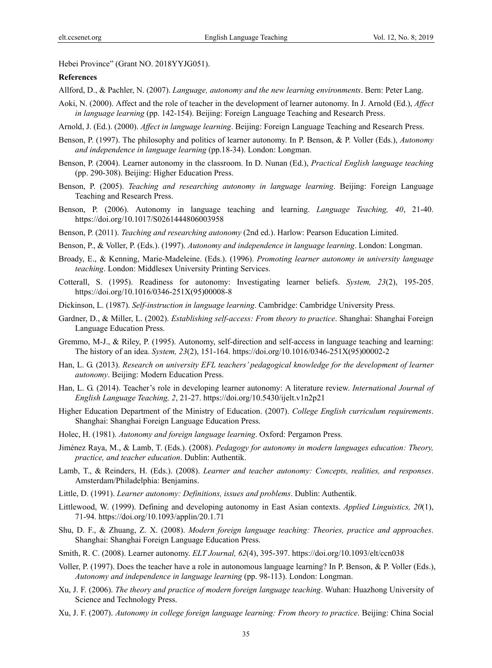Hebei Province" (Grant NO. 2018YYJG051).

#### **References**

- Allford, D., & Pachler, N. (2007). *Language, autonomy and the new learning environments*. Bern: Peter Lang.
- Aoki, N. (2000). Affect and the role of teacher in the development of learner autonomy. In J. Arnold (Ed.), *Affect in language learning* (pp. 142-154). Beijing: Foreign Language Teaching and Research Press.
- Arnold, J. (Ed.). (2000). *Affect in language learning*. Beijing: Foreign Language Teaching and Research Press.
- Benson, P. (1997). The philosophy and politics of learner autonomy. In P. Benson, & P. Voller (Eds.), *Autonomy and independence in language learning* (pp.18-34). London: Longman.
- Benson, P. (2004). Learner autonomy in the classroom. In D. Nunan (Ed.), *Practical English language teaching* (pp. 290-308). Beijing: Higher Education Press.
- Benson, P. (2005). *Teaching and researching autonomy in language learning*. Beijing: Foreign Language Teaching and Research Press.
- Benson, P. (2006). Autonomy in language teaching and learning. *Language Teaching, 40*, 21-40. https://doi.org/10.1017/S0261444806003958
- Benson, P. (2011). *Teaching and researching autonomy* (2nd ed.). Harlow: Pearson Education Limited.
- Benson, P., & Voller, P. (Eds.). (1997). *Autonomy and independence in language learning*. London: Longman.
- Broady, E., & Kenning, Marie-Madeleine. (Eds.). (1996). *Promoting learner autonomy in university language teaching*. London: Middlesex University Printing Services.
- Cotterall, S. (1995). Readiness for autonomy: Investigating learner beliefs. *System, 23*(2), 195-205. https://doi.org/10.1016/0346-251X(95)00008-8
- Dickinson, L. (1987). *Self-instruction in language learning*. Cambridge: Cambridge University Press.
- Gardner, D., & Miller, L. (2002). *Establishing self-access: From theory to practice*. Shanghai: Shanghai Foreign Language Education Press.
- Gremmo, M-J., & Riley, P. (1995). Autonomy, self-direction and self-access in language teaching and learning: The history of an idea. *System, 23*(2), 151-164. https://doi.org/10.1016/0346-251X(95)00002-2
- Han, L. G. (2013). *Research on university EFL teachers' pedagogical knowledge for the development of learner autonomy*. Beijing: Modern Education Press.
- Han, L. G. (2014). Teacher's role in developing learner autonomy: A literature review. *International Journal of English Language Teaching, 2*, 21-27. https://doi.org/10.5430/ijelt.v1n2p21
- Higher Education Department of the Ministry of Education. (2007). *College English curriculum requirements*. Shanghai: Shanghai Foreign Language Education Press.
- Holec, H. (1981). *Autonomy and foreign language learning*. Oxford: Pergamon Press.
- Jiménez Raya, M., & Lamb, T. (Eds.). (2008). *Pedagogy for autonomy in modern languages education: Theory, practice, and teacher education*. Dublin: Authentik.
- Lamb, T., & Reinders, H. (Eds.). (2008). *Learner and teacher autonomy: Concepts, realities, and responses*. Amsterdam/Philadelphia: Benjamins.
- Little, D. (1991). *Learner autonomy: Definitions, issues and problems*. Dublin: Authentik.
- Littlewood, W. (1999). Defining and developing autonomy in East Asian contexts. *Applied Linguistics, 20*(1), 71-94. https://doi.org/10.1093/applin/20.1.71
- Shu, D. F., & Zhuang, Z. X. (2008). *Modern foreign language teaching: Theories, practice and approaches*. Shanghai: Shanghai Foreign Language Education Press.
- Smith, R. C. (2008). Learner autonomy. *ELT Journal, 62*(4), 395-397. https://doi.org/10.1093/elt/ccn038
- Voller, P. (1997). Does the teacher have a role in autonomous language learning? In P. Benson, & P. Voller (Eds.), *Autonomy and independence in language learning* (pp. 98-113). London: Longman.
- Xu, J. F. (2006). *The theory and practice of modern foreign language teaching*. Wuhan: Huazhong University of Science and Technology Press.
- Xu, J. F. (2007). *Autonomy in college foreign language learning: From theory to practice*. Beijing: China Social